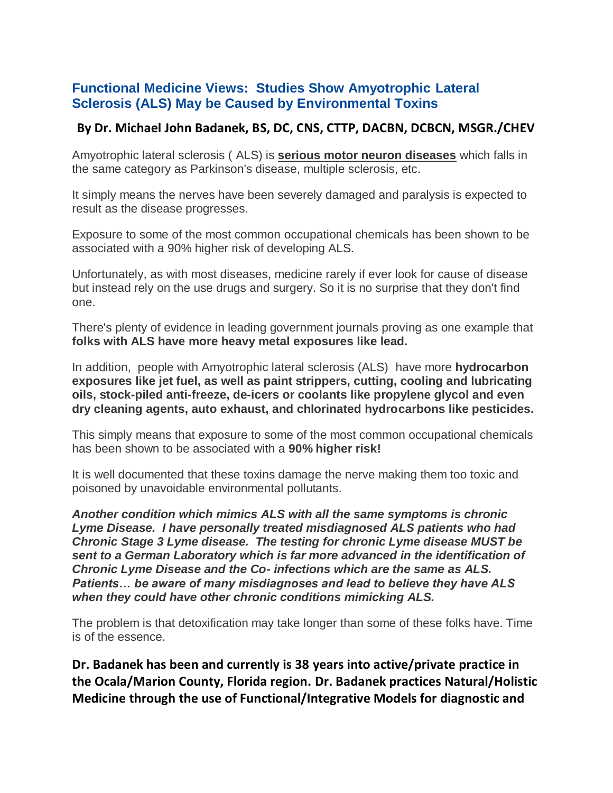## **Functional Medicine Views: Studies Show Amyotrophic Lateral Sclerosis (ALS) May be Caused by Environmental Toxins**

## **By Dr. Michael John Badanek, BS, DC, CNS, CTTP, DACBN, DCBCN, MSGR./CHEV**

Amyotrophic lateral sclerosis ( ALS) is **serious motor neuron diseases** which falls in the same category as Parkinson's disease, multiple sclerosis, etc.

It simply means the nerves have been severely damaged and paralysis is expected to result as the disease progresses.

Exposure to some of the most common occupational chemicals has been shown to be associated with a 90% higher risk of developing ALS.

Unfortunately, as with most diseases, medicine rarely if ever look for cause of disease but instead rely on the use drugs and surgery. So it is no surprise that they don't find one.

There's plenty of evidence in leading government journals proving as one example that **folks with ALS have more heavy metal exposures like lead.**

In addition, people with Amyotrophic lateral sclerosis (ALS) have more **hydrocarbon exposures like jet fuel, as well as paint strippers, cutting, cooling and lubricating oils, stock-piled anti-freeze, de-icers or coolants like propylene glycol and even dry cleaning agents, auto exhaust, and chlorinated hydrocarbons like pesticides.** 

This simply means that exposure to some of the most common occupational chemicals has been shown to be associated with a **90% higher risk!**

It is well documented that these toxins damage the nerve making them too toxic and poisoned by unavoidable environmental pollutants.

*Another condition which mimics ALS with all the same symptoms is chronic Lyme Disease. I have personally treated misdiagnosed ALS patients who had Chronic Stage 3 Lyme disease. The testing for chronic Lyme disease MUST be sent to a German Laboratory which is far more advanced in the identification of Chronic Lyme Disease and the Co- infections which are the same as ALS. Patients… be aware of many misdiagnoses and lead to believe they have ALS when they could have other chronic conditions mimicking ALS.*

The problem is that detoxification may take longer than some of these folks have. Time is of the essence.

**Dr. Badanek has been and currently is 38 years into active/private practice in the Ocala/Marion County, Florida region. Dr. Badanek practices Natural/Holistic Medicine through the use of Functional/Integrative Models for diagnostic and**